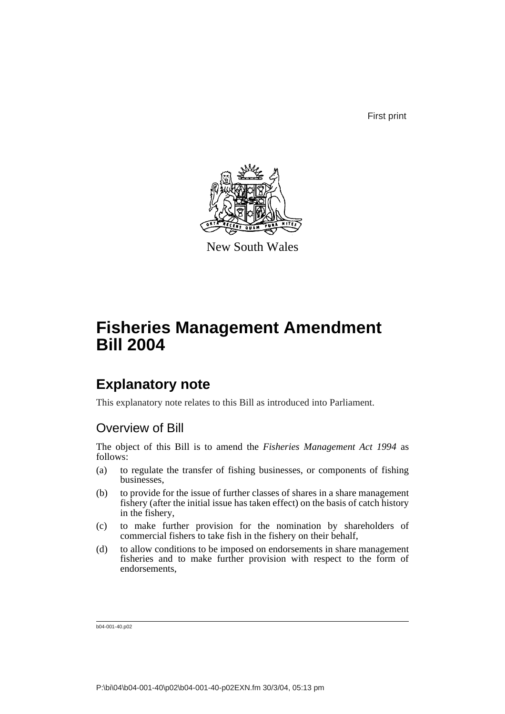First print



New South Wales

# **Fisheries Management Amendment Bill 2004**

## **Explanatory note**

This explanatory note relates to this Bill as introduced into Parliament.

## Overview of Bill

The object of this Bill is to amend the *Fisheries Management Act 1994* as follows:

- (a) to regulate the transfer of fishing businesses, or components of fishing businesses,
- (b) to provide for the issue of further classes of shares in a share management fishery (after the initial issue has taken effect) on the basis of catch history in the fishery,
- (c) to make further provision for the nomination by shareholders of commercial fishers to take fish in the fishery on their behalf,
- (d) to allow conditions to be imposed on endorsements in share management fisheries and to make further provision with respect to the form of endorsements,

b04-001-40.p02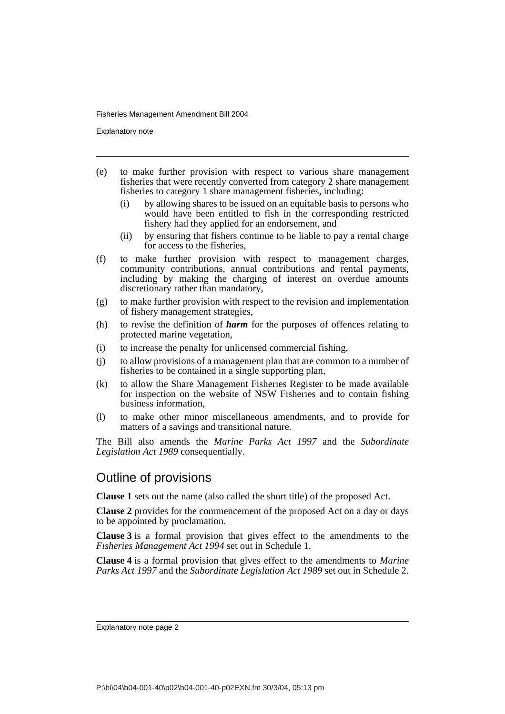Explanatory note

- (e) to make further provision with respect to various share management fisheries that were recently converted from category 2 share management fisheries to category 1 share management fisheries, including:
	- (i) by allowing shares to be issued on an equitable basis to persons who would have been entitled to fish in the corresponding restricted fishery had they applied for an endorsement, and
	- (ii) by ensuring that fishers continue to be liable to pay a rental charge for access to the fisheries,
- (f) to make further provision with respect to management charges, community contributions, annual contributions and rental payments, including by making the charging of interest on overdue amounts discretionary rather than mandatory,
- (g) to make further provision with respect to the revision and implementation of fishery management strategies,
- (h) to revise the definition of *harm* for the purposes of offences relating to protected marine vegetation,
- (i) to increase the penalty for unlicensed commercial fishing,
- (j) to allow provisions of a management plan that are common to a number of fisheries to be contained in a single supporting plan,
- (k) to allow the Share Management Fisheries Register to be made available for inspection on the website of NSW Fisheries and to contain fishing business information,
- (l) to make other minor miscellaneous amendments, and to provide for matters of a savings and transitional nature.

The Bill also amends the *Marine Parks Act 1997* and the *Subordinate Legislation Act 1989* consequentially.

## Outline of provisions

**Clause 1** sets out the name (also called the short title) of the proposed Act.

**Clause 2** provides for the commencement of the proposed Act on a day or days to be appointed by proclamation.

**Clause 3** is a formal provision that gives effect to the amendments to the *Fisheries Management Act 1994* set out in Schedule 1.

**Clause 4** is a formal provision that gives effect to the amendments to *Marine Parks Act 1997* and the *Subordinate Legislation Act 1989* set out in Schedule 2.

Explanatory note page 2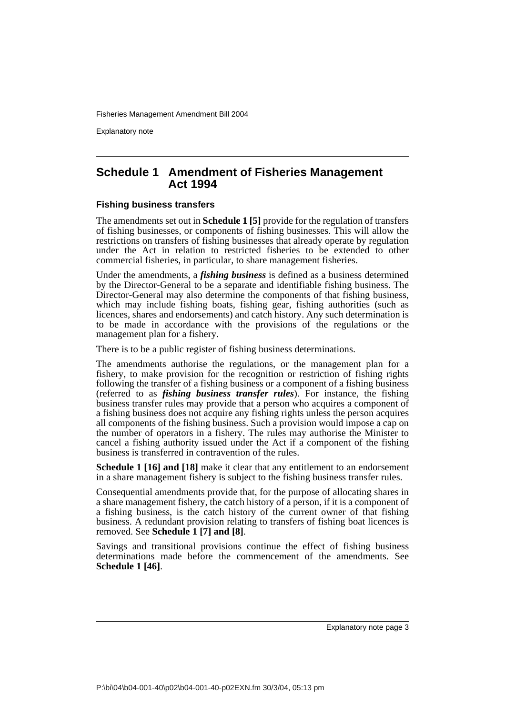Explanatory note

## **Schedule 1 Amendment of Fisheries Management Act 1994**

## **Fishing business transfers**

The amendments set out in **Schedule 1 [5]** provide for the regulation of transfers of fishing businesses, or components of fishing businesses. This will allow the restrictions on transfers of fishing businesses that already operate by regulation under the Act in relation to restricted fisheries to be extended to other commercial fisheries, in particular, to share management fisheries.

Under the amendments, a *fishing business* is defined as a business determined by the Director-General to be a separate and identifiable fishing business. The Director-General may also determine the components of that fishing business, which may include fishing boats, fishing gear, fishing authorities (such as licences, shares and endorsements) and catch history. Any such determination is to be made in accordance with the provisions of the regulations or the management plan for a fishery.

There is to be a public register of fishing business determinations.

The amendments authorise the regulations, or the management plan for a fishery, to make provision for the recognition or restriction of fishing rights following the transfer of a fishing business or a component of a fishing business (referred to as *fishing business transfer rules*). For instance, the fishing business transfer rules may provide that a person who acquires a component of a fishing business does not acquire any fishing rights unless the person acquires all components of the fishing business. Such a provision would impose a cap on the number of operators in a fishery. The rules may authorise the Minister to cancel a fishing authority issued under the Act if a component of the fishing business is transferred in contravention of the rules.

**Schedule 1 [16] and [18]** make it clear that any entitlement to an endorsement in a share management fishery is subject to the fishing business transfer rules.

Consequential amendments provide that, for the purpose of allocating shares in a share management fishery, the catch history of a person, if it is a component of a fishing business, is the catch history of the current owner of that fishing business. A redundant provision relating to transfers of fishing boat licences is removed. See **Schedule 1 [7] and [8]**.

Savings and transitional provisions continue the effect of fishing business determinations made before the commencement of the amendments. See **Schedule 1 [46]**.

Explanatory note page 3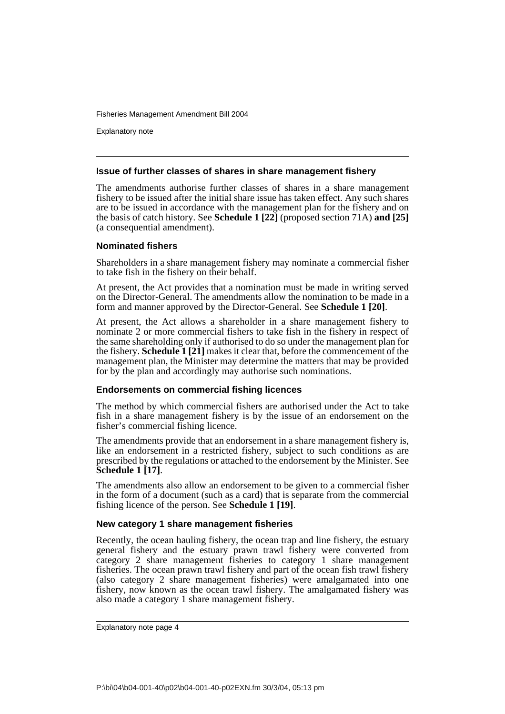Explanatory note

## **Issue of further classes of shares in share management fishery**

The amendments authorise further classes of shares in a share management fishery to be issued after the initial share issue has taken effect. Any such shares are to be issued in accordance with the management plan for the fishery and on the basis of catch history. See **Schedule 1 [22]** (proposed section 71A) **and [25]** (a consequential amendment).

## **Nominated fishers**

Shareholders in a share management fishery may nominate a commercial fisher to take fish in the fishery on their behalf.

At present, the Act provides that a nomination must be made in writing served on the Director-General. The amendments allow the nomination to be made in a form and manner approved by the Director-General. See **Schedule 1 [20]**.

At present, the Act allows a shareholder in a share management fishery to nominate 2 or more commercial fishers to take fish in the fishery in respect of the same shareholding only if authorised to do so under the management plan for the fishery. **Schedule 1 [21]** makes it clear that, before the commencement of the management plan, the Minister may determine the matters that may be provided for by the plan and accordingly may authorise such nominations.

## **Endorsements on commercial fishing licences**

The method by which commercial fishers are authorised under the Act to take fish in a share management fishery is by the issue of an endorsement on the fisher's commercial fishing licence.

The amendments provide that an endorsement in a share management fishery is, like an endorsement in a restricted fishery, subject to such conditions as are prescribed by the regulations or attached to the endorsement by the Minister. See **Schedule 1 [17]**.

The amendments also allow an endorsement to be given to a commercial fisher in the form of a document (such as a card) that is separate from the commercial fishing licence of the person. See **Schedule 1 [19]**.

## **New category 1 share management fisheries**

Recently, the ocean hauling fishery, the ocean trap and line fishery, the estuary general fishery and the estuary prawn trawl fishery were converted from category 2 share management fisheries to category 1 share management fisheries. The ocean prawn trawl fishery and part of the ocean fish trawl fishery (also category 2 share management fisheries) were amalgamated into one fishery, now known as the ocean trawl fishery. The amalgamated fishery was also made a category 1 share management fishery.

Explanatory note page 4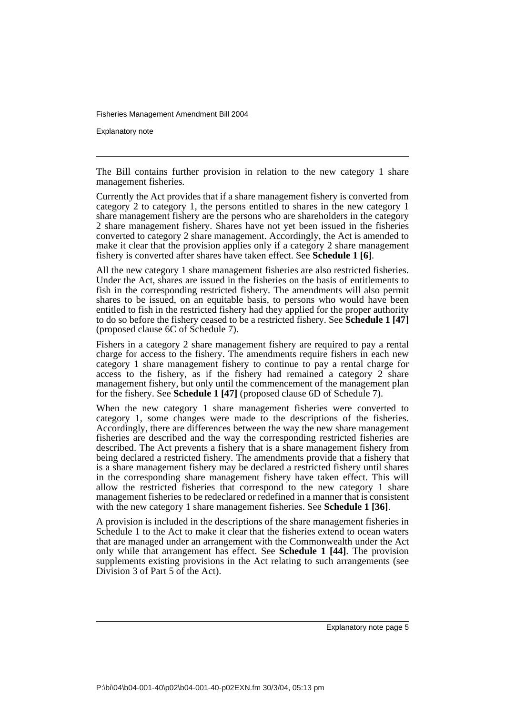Explanatory note

The Bill contains further provision in relation to the new category 1 share management fisheries.

Currently the Act provides that if a share management fishery is converted from category 2 to category 1, the persons entitled to shares in the new category 1 share management fishery are the persons who are shareholders in the category 2 share management fishery. Shares have not yet been issued in the fisheries converted to category 2 share management. Accordingly, the Act is amended to make it clear that the provision applies only if a category 2 share management fishery is converted after shares have taken effect. See **Schedule 1 [6]**.

All the new category 1 share management fisheries are also restricted fisheries. Under the Act, shares are issued in the fisheries on the basis of entitlements to fish in the corresponding restricted fishery. The amendments will also permit shares to be issued, on an equitable basis, to persons who would have been entitled to fish in the restricted fishery had they applied for the proper authority to do so before the fishery ceased to be a restricted fishery. See **Schedule 1 [47]** (proposed clause 6C of Schedule 7).

Fishers in a category 2 share management fishery are required to pay a rental charge for access to the fishery. The amendments require fishers in each new category 1 share management fishery to continue to pay a rental charge for access to the fishery, as if the fishery had remained a category 2 share management fishery, but only until the commencement of the management plan for the fishery. See **Schedule 1 [47]** (proposed clause 6D of Schedule 7).

When the new category 1 share management fisheries were converted to category 1, some changes were made to the descriptions of the fisheries. Accordingly, there are differences between the way the new share management fisheries are described and the way the corresponding restricted fisheries are described. The Act prevents a fishery that is a share management fishery from being declared a restricted fishery. The amendments provide that a fishery that is a share management fishery may be declared a restricted fishery until shares in the corresponding share management fishery have taken effect. This will allow the restricted fisheries that correspond to the new category 1 share management fisheries to be redeclared or redefined in a manner that is consistent with the new category 1 share management fisheries. See **Schedule 1 [36]**.

A provision is included in the descriptions of the share management fisheries in Schedule 1 to the Act to make it clear that the fisheries extend to ocean waters that are managed under an arrangement with the Commonwealth under the Act only while that arrangement has effect. See **Schedule 1 [44]**. The provision supplements existing provisions in the Act relating to such arrangements (see Division 3 of Part 5 of the Act).

Explanatory note page 5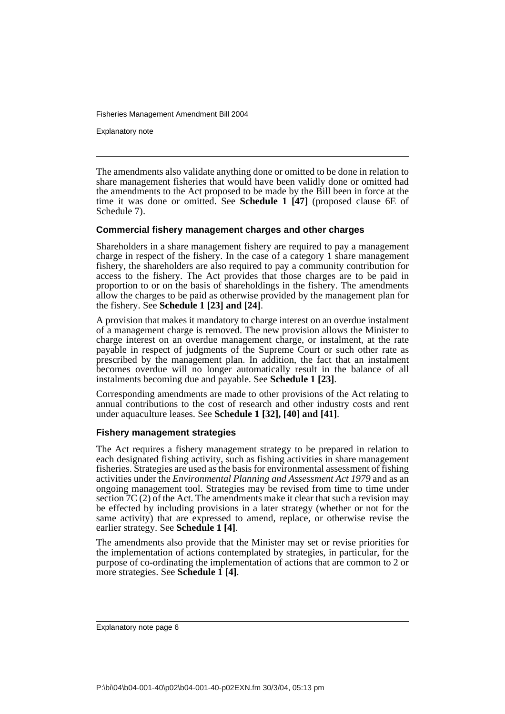Explanatory note

The amendments also validate anything done or omitted to be done in relation to share management fisheries that would have been validly done or omitted had the amendments to the Act proposed to be made by the Bill been in force at the time it was done or omitted. See **Schedule 1 [47]** (proposed clause 6E of Schedule 7).

## **Commercial fishery management charges and other charges**

Shareholders in a share management fishery are required to pay a management charge in respect of the fishery. In the case of a category 1 share management fishery, the shareholders are also required to pay a community contribution for access to the fishery. The Act provides that those charges are to be paid in proportion to or on the basis of shareholdings in the fishery. The amendments allow the charges to be paid as otherwise provided by the management plan for the fishery. See **Schedule 1 [23] and [24]**.

A provision that makes it mandatory to charge interest on an overdue instalment of a management charge is removed. The new provision allows the Minister to charge interest on an overdue management charge, or instalment, at the rate payable in respect of judgments of the Supreme Court or such other rate as prescribed by the management plan. In addition, the fact that an instalment becomes overdue will no longer automatically result in the balance of all instalments becoming due and payable. See **Schedule 1 [23]**.

Corresponding amendments are made to other provisions of the Act relating to annual contributions to the cost of research and other industry costs and rent under aquaculture leases. See **Schedule 1 [32], [40] and [41]**.

## **Fishery management strategies**

The Act requires a fishery management strategy to be prepared in relation to each designated fishing activity, such as fishing activities in share management fisheries. Strategies are used as the basis for environmental assessment of fishing activities under the *Environmental Planning and Assessment Act 1979* and as an ongoing management tool. Strategies may be revised from time to time under section  $7C(2)$  of the Act. The amendments make it clear that such a revision may be effected by including provisions in a later strategy (whether or not for the same activity) that are expressed to amend, replace, or otherwise revise the earlier strategy. See **Schedule 1 [4]**.

The amendments also provide that the Minister may set or revise priorities for the implementation of actions contemplated by strategies, in particular, for the purpose of co-ordinating the implementation of actions that are common to 2 or more strategies. See **Schedule 1 [4]**.

Explanatory note page 6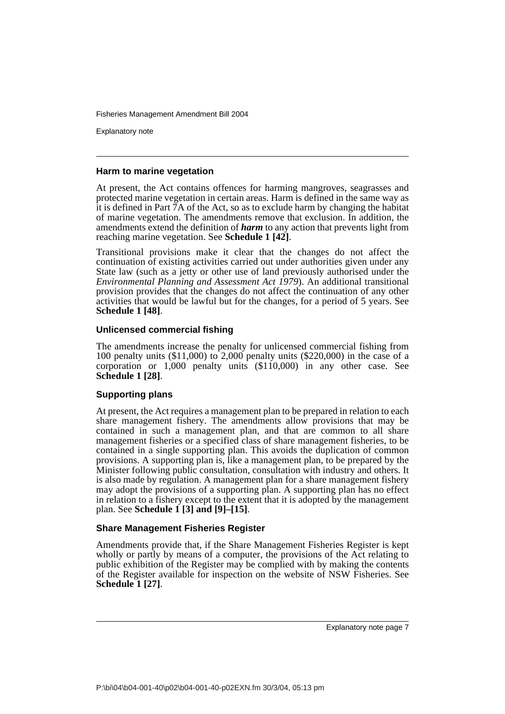Explanatory note

### **Harm to marine vegetation**

At present, the Act contains offences for harming mangroves, seagrasses and protected marine vegetation in certain areas. Harm is defined in the same way as it is defined in Part 7A of the Act, so as to exclude harm by changing the habitat of marine vegetation. The amendments remove that exclusion. In addition, the amendments extend the definition of *harm* to any action that prevents light from reaching marine vegetation. See **Schedule 1 [42]**.

Transitional provisions make it clear that the changes do not affect the continuation of existing activities carried out under authorities given under any State law (such as a jetty or other use of land previously authorised under the *Environmental Planning and Assessment Act 1979*). An additional transitional provision provides that the changes do not affect the continuation of any other activities that would be lawful but for the changes, for a period of 5 years. See **Schedule 1 [48]**.

## **Unlicensed commercial fishing**

The amendments increase the penalty for unlicensed commercial fishing from 100 penalty units (\$11,000) to 2,000 penalty units (\$220,000) in the case of a corporation or 1,000 penalty units (\$110,000) in any other case. See **Schedule 1 [28]**.

## **Supporting plans**

At present, the Act requires a management plan to be prepared in relation to each share management fishery. The amendments allow provisions that may be contained in such a management plan, and that are common to all share management fisheries or a specified class of share management fisheries, to be contained in a single supporting plan. This avoids the duplication of common provisions. A supporting plan is, like a management plan, to be prepared by the Minister following public consultation, consultation with industry and others. It is also made by regulation. A management plan for a share management fishery may adopt the provisions of a supporting plan. A supporting plan has no effect in relation to a fishery except to the extent that it is adopted by the management plan. See **Schedule 1 [3] and [9]–[15]**.

## **Share Management Fisheries Register**

Amendments provide that, if the Share Management Fisheries Register is kept wholly or partly by means of a computer, the provisions of the Act relating to public exhibition of the Register may be complied with by making the contents of the Register available for inspection on the website of NSW Fisheries. See **Schedule 1 [27]**.

Explanatory note page 7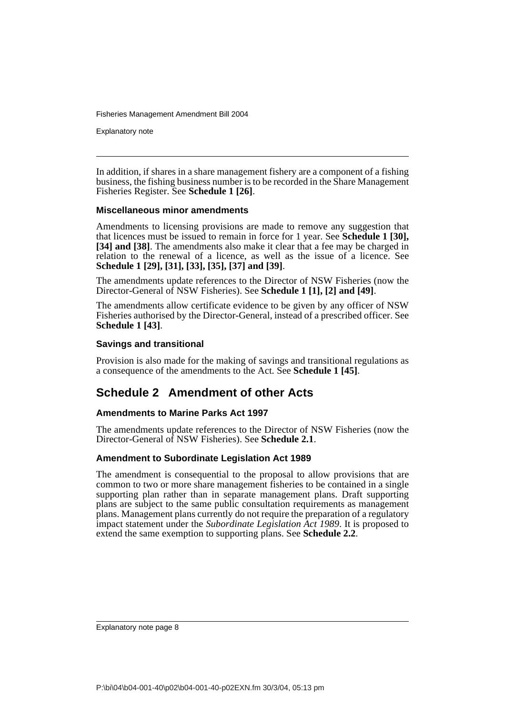Explanatory note

In addition, if shares in a share management fishery are a component of a fishing business, the fishing business number is to be recorded in the Share Management Fisheries Register. See **Schedule 1 [26]**.

#### **Miscellaneous minor amendments**

Amendments to licensing provisions are made to remove any suggestion that that licences must be issued to remain in force for 1 year. See **Schedule 1 [30], [34] and [38]**. The amendments also make it clear that a fee may be charged in relation to the renewal of a licence, as well as the issue of a licence. See **Schedule 1 [29], [31], [33], [35], [37] and [39]**.

The amendments update references to the Director of NSW Fisheries (now the Director-General of NSW Fisheries). See **Schedule 1 [1], [2] and [49]**.

The amendments allow certificate evidence to be given by any officer of NSW Fisheries authorised by the Director-General, instead of a prescribed officer. See **Schedule 1 [43]**.

## **Savings and transitional**

Provision is also made for the making of savings and transitional regulations as a consequence of the amendments to the Act. See **Schedule 1 [45]**.

## **Schedule 2 Amendment of other Acts**

## **Amendments to Marine Parks Act 1997**

The amendments update references to the Director of NSW Fisheries (now the Director-General of NSW Fisheries). See **Schedule 2.1**.

## **Amendment to Subordinate Legislation Act 1989**

The amendment is consequential to the proposal to allow provisions that are common to two or more share management fisheries to be contained in a single supporting plan rather than in separate management plans. Draft supporting plans are subject to the same public consultation requirements as management plans. Management plans currently do not require the preparation of a regulatory impact statement under the *Subordinate Legislation Act 1989*. It is proposed to extend the same exemption to supporting plans. See **Schedule 2.2**.

Explanatory note page 8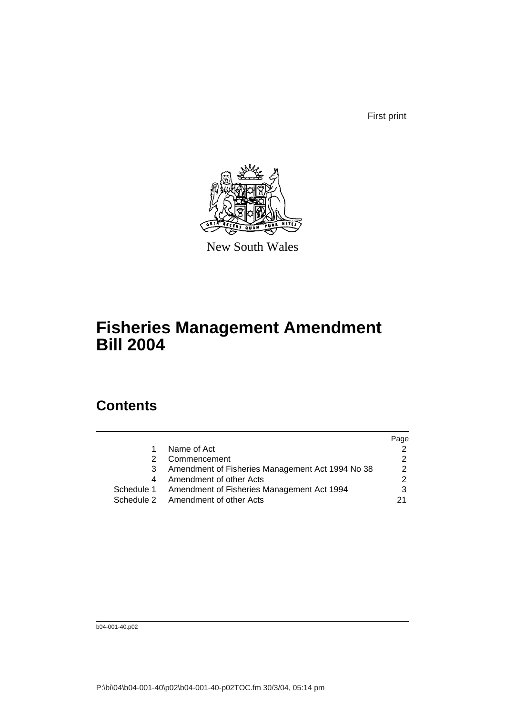First print



New South Wales

# **Fisheries Management Amendment Bill 2004**

# **Contents**

|    |                                                       | Page |
|----|-------------------------------------------------------|------|
|    | Name of Act                                           |      |
| 2. | Commencement                                          |      |
| 3  | Amendment of Fisheries Management Act 1994 No 38      | 2    |
| 4  | Amendment of other Acts                               | າ    |
|    | Schedule 1 Amendment of Fisheries Management Act 1994 |      |
|    | Schedule 2 Amendment of other Acts                    | 21   |

b04-001-40.p02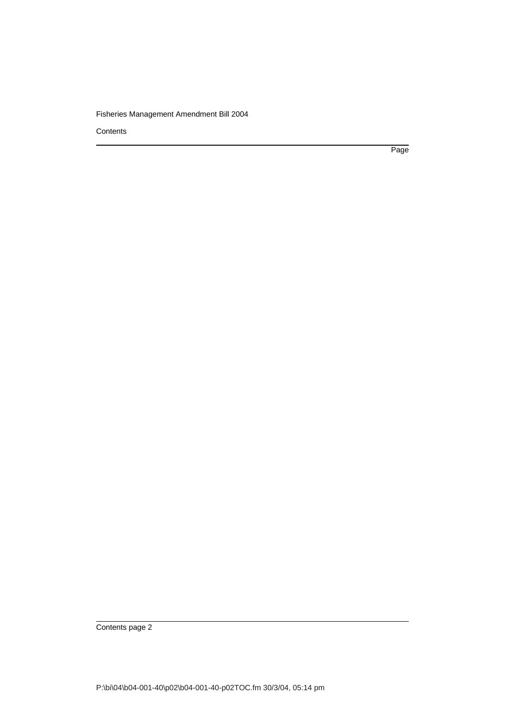**Contents** 

Page

Contents page 2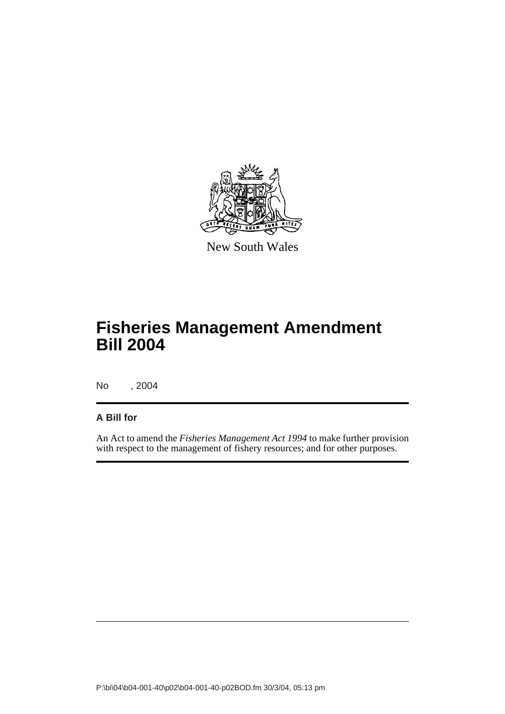

New South Wales

# **Fisheries Management Amendment Bill 2004**

No , 2004

## **A Bill for**

An Act to amend the *Fisheries Management Act 1994* to make further provision with respect to the management of fishery resources; and for other purposes.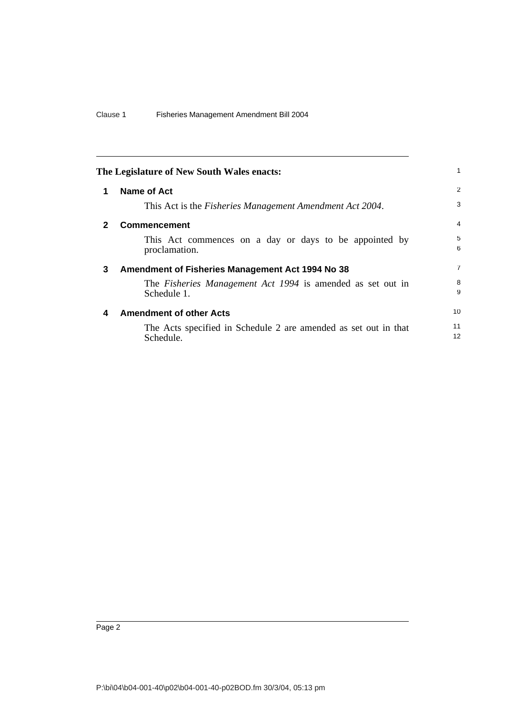<span id="page-11-3"></span><span id="page-11-2"></span><span id="page-11-1"></span><span id="page-11-0"></span>

| The Legislature of New South Wales enacts: |                                                                              |          |
|--------------------------------------------|------------------------------------------------------------------------------|----------|
| 1                                          | Name of Act                                                                  | 2        |
|                                            | This Act is the <i>Fisheries Management Amendment Act 2004</i> .             | 3        |
| 2                                          | <b>Commencement</b>                                                          | 4        |
|                                            | This Act commences on a day or days to be appointed by<br>proclamation.      | 5<br>6   |
| 3                                          | Amendment of Fisheries Management Act 1994 No 38                             | 7        |
|                                            | The Fisheries Management Act 1994 is amended as set out in<br>Schedule 1.    | 8<br>9   |
| 4                                          | <b>Amendment of other Acts</b>                                               | 10       |
|                                            | The Acts specified in Schedule 2 are amended as set out in that<br>Schedule. | 11<br>12 |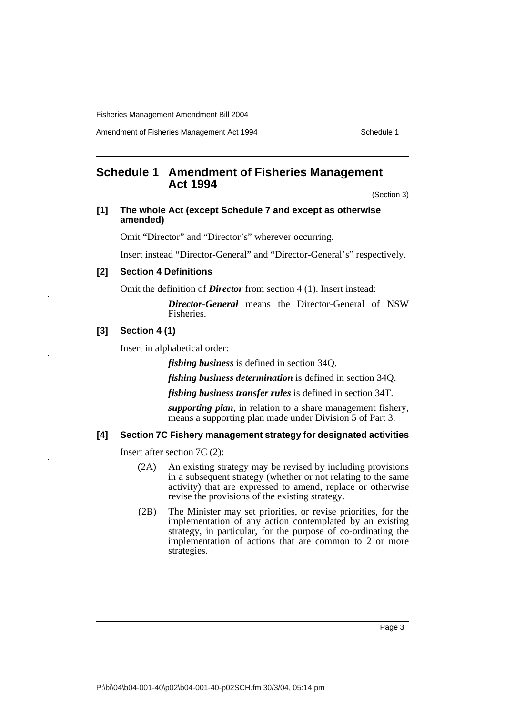Amendment of Fisheries Management Act 1994 Schedule 1

## <span id="page-12-0"></span>**Schedule 1 Amendment of Fisheries Management Act 1994**

(Section 3)

## **[1] The whole Act (except Schedule 7 and except as otherwise amended)**

Omit "Director" and "Director's" wherever occurring.

Insert instead "Director-General" and "Director-General's" respectively.

## **[2] Section 4 Definitions**

Omit the definition of *Director* from section 4 (1). Insert instead:

*Director-General* means the Director-General of NSW Fisheries.

## **[3] Section 4 (1)**

Insert in alphabetical order:

*fishing business* is defined in section 34Q.

*fishing business determination* is defined in section 34Q.

*fishing business transfer rules* is defined in section 34T.

*supporting plan*, in relation to a share management fishery, means a supporting plan made under Division 5 of Part 3.

## **[4] Section 7C Fishery management strategy for designated activities**

Insert after section 7C (2):

- (2A) An existing strategy may be revised by including provisions in a subsequent strategy (whether or not relating to the same activity) that are expressed to amend, replace or otherwise revise the provisions of the existing strategy.
- (2B) The Minister may set priorities, or revise priorities, for the implementation of any action contemplated by an existing strategy, in particular, for the purpose of co-ordinating the implementation of actions that are common to 2 or more strategies.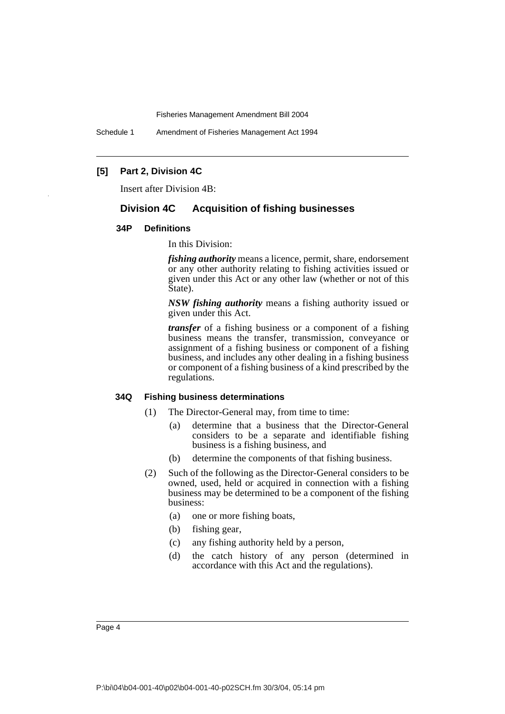Schedule 1 Amendment of Fisheries Management Act 1994

## **[5] Part 2, Division 4C**

Insert after Division 4B:

## **Division 4C Acquisition of fishing businesses**

#### **34P Definitions**

In this Division:

*fishing authority* means a licence, permit, share, endorsement or any other authority relating to fishing activities issued or given under this Act or any other law (whether or not of this State).

*NSW fishing authority* means a fishing authority issued or given under this Act.

*transfer* of a fishing business or a component of a fishing business means the transfer, transmission, conveyance or assignment of a fishing business or component of a fishing business, and includes any other dealing in a fishing business or component of a fishing business of a kind prescribed by the regulations.

### **34Q Fishing business determinations**

- (1) The Director-General may, from time to time:
	- (a) determine that a business that the Director-General considers to be a separate and identifiable fishing business is a fishing business, and
	- (b) determine the components of that fishing business.
- (2) Such of the following as the Director-General considers to be owned, used, held or acquired in connection with a fishing business may be determined to be a component of the fishing business:
	- (a) one or more fishing boats,
	- (b) fishing gear,
	- (c) any fishing authority held by a person,
	- (d) the catch history of any person (determined in accordance with this Act and the regulations).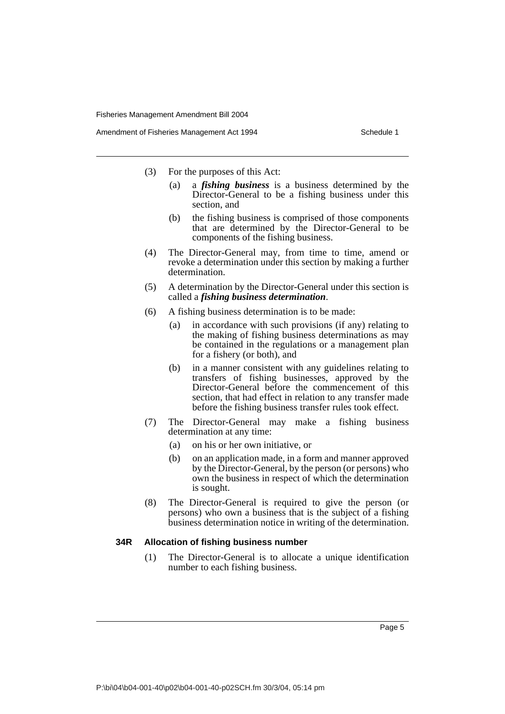- (3) For the purposes of this Act:
	- (a) a *fishing business* is a business determined by the Director-General to be a fishing business under this section, and
	- (b) the fishing business is comprised of those components that are determined by the Director-General to be components of the fishing business.
- (4) The Director-General may, from time to time, amend or revoke a determination under this section by making a further determination.
- (5) A determination by the Director-General under this section is called a *fishing business determination*.
- (6) A fishing business determination is to be made:
	- (a) in accordance with such provisions (if any) relating to the making of fishing business determinations as may be contained in the regulations or a management plan for a fishery (or both), and
	- (b) in a manner consistent with any guidelines relating to transfers of fishing businesses, approved by the Director-General before the commencement of this section, that had effect in relation to any transfer made before the fishing business transfer rules took effect.
- (7) The Director-General may make a fishing business determination at any time:
	- (a) on his or her own initiative, or
	- (b) on an application made, in a form and manner approved by the Director-General, by the person (or persons) who own the business in respect of which the determination is sought.
- (8) The Director-General is required to give the person (or persons) who own a business that is the subject of a fishing business determination notice in writing of the determination.

#### **34R Allocation of fishing business number**

(1) The Director-General is to allocate a unique identification number to each fishing business.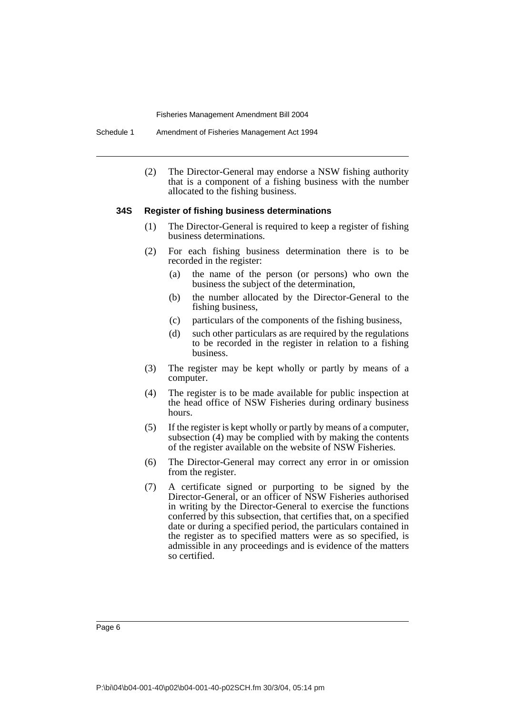Schedule 1 Amendment of Fisheries Management Act 1994

(2) The Director-General may endorse a NSW fishing authority that is a component of a fishing business with the number allocated to the fishing business.

#### **34S Register of fishing business determinations**

- (1) The Director-General is required to keep a register of fishing business determinations.
- (2) For each fishing business determination there is to be recorded in the register:
	- (a) the name of the person (or persons) who own the business the subject of the determination,
	- (b) the number allocated by the Director-General to the fishing business,
	- (c) particulars of the components of the fishing business,
	- (d) such other particulars as are required by the regulations to be recorded in the register in relation to a fishing business.
- (3) The register may be kept wholly or partly by means of a computer.
- (4) The register is to be made available for public inspection at the head office of NSW Fisheries during ordinary business hours.
- (5) If the register is kept wholly or partly by means of a computer, subsection (4) may be complied with by making the contents of the register available on the website of NSW Fisheries.
- (6) The Director-General may correct any error in or omission from the register.
- (7) A certificate signed or purporting to be signed by the Director-General, or an officer of NSW Fisheries authorised in writing by the Director-General to exercise the functions conferred by this subsection, that certifies that, on a specified date or during a specified period, the particulars contained in the register as to specified matters were as so specified, is admissible in any proceedings and is evidence of the matters so certified.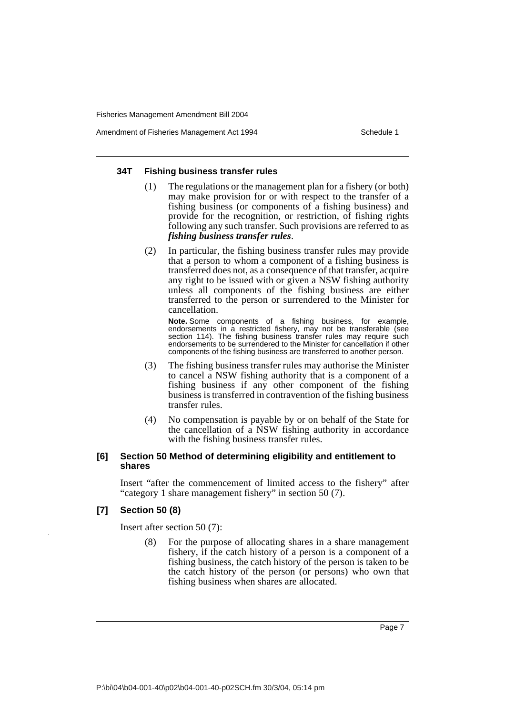Amendment of Fisheries Management Act 1994 Schedule 1

#### **34T Fishing business transfer rules**

- (1) The regulations or the management plan for a fishery (or both) may make provision for or with respect to the transfer of a fishing business (or components of a fishing business) and provide for the recognition, or restriction, of fishing rights following any such transfer. Such provisions are referred to as *fishing business transfer rules*.
- (2) In particular, the fishing business transfer rules may provide that a person to whom a component of a fishing business is transferred does not, as a consequence of that transfer, acquire any right to be issued with or given a NSW fishing authority unless all components of the fishing business are either transferred to the person or surrendered to the Minister for cancellation.

**Note.** Some components of a fishing business, for example, endorsements in a restricted fishery, may not be transferable (see section 114). The fishing business transfer rules may require such endorsements to be surrendered to the Minister for cancellation if other components of the fishing business are transferred to another person.

- (3) The fishing business transfer rules may authorise the Minister to cancel a NSW fishing authority that is a component of a fishing business if any other component of the fishing business is transferred in contravention of the fishing business transfer rules.
- (4) No compensation is payable by or on behalf of the State for the cancellation of a NSW fishing authority in accordance with the fishing business transfer rules.

#### **[6] Section 50 Method of determining eligibility and entitlement to shares**

Insert "after the commencement of limited access to the fishery" after "category 1 share management fishery" in section 50 (7).

## **[7] Section 50 (8)**

Insert after section 50 (7):

(8) For the purpose of allocating shares in a share management fishery, if the catch history of a person is a component of a fishing business, the catch history of the person is taken to be the catch history of the person (or persons) who own that fishing business when shares are allocated.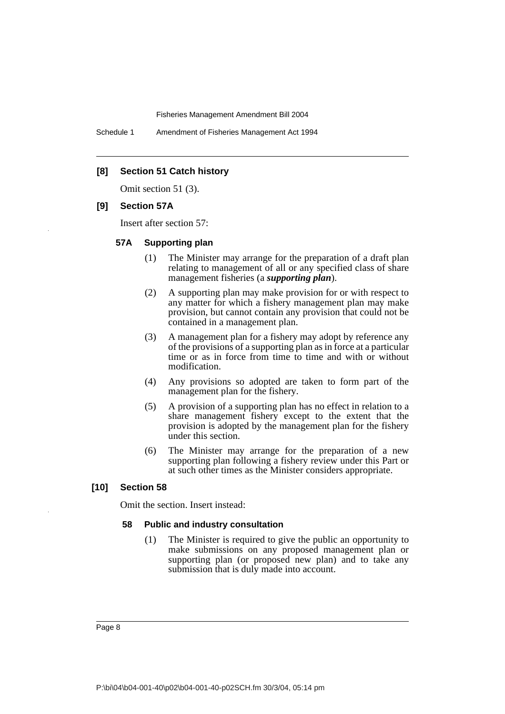Schedule 1 Amendment of Fisheries Management Act 1994

### **[8] Section 51 Catch history**

Omit section 51 (3).

## **[9] Section 57A**

Insert after section 57:

## **57A Supporting plan**

- (1) The Minister may arrange for the preparation of a draft plan relating to management of all or any specified class of share management fisheries (a *supporting plan*).
- (2) A supporting plan may make provision for or with respect to any matter for which a fishery management plan may make provision, but cannot contain any provision that could not be contained in a management plan.
- (3) A management plan for a fishery may adopt by reference any of the provisions of a supporting plan as in force at a particular time or as in force from time to time and with or without modification.
- (4) Any provisions so adopted are taken to form part of the management plan for the fishery.
- (5) A provision of a supporting plan has no effect in relation to a share management fishery except to the extent that the provision is adopted by the management plan for the fishery under this section.
- (6) The Minister may arrange for the preparation of a new supporting plan following a fishery review under this Part or at such other times as the Minister considers appropriate.

## **[10] Section 58**

Omit the section. Insert instead:

#### **58 Public and industry consultation**

(1) The Minister is required to give the public an opportunity to make submissions on any proposed management plan or supporting plan (or proposed new plan) and to take any submission that is duly made into account.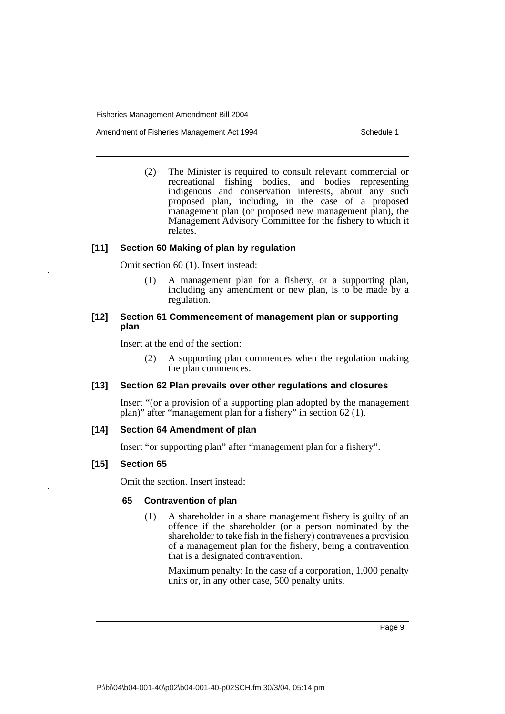Amendment of Fisheries Management Act 1994 Schedule 1

(2) The Minister is required to consult relevant commercial or recreational fishing bodies, and bodies representing indigenous and conservation interests, about any such proposed plan, including, in the case of a proposed management plan (or proposed new management plan), the Management Advisory Committee for the fishery to which it relates.

#### **[11] Section 60 Making of plan by regulation**

Omit section 60 (1). Insert instead:

(1) A management plan for a fishery, or a supporting plan, including any amendment or new plan, is to be made by a regulation.

## **[12] Section 61 Commencement of management plan or supporting plan**

Insert at the end of the section:

(2) A supporting plan commences when the regulation making the plan commences.

### **[13] Section 62 Plan prevails over other regulations and closures**

Insert "(or a provision of a supporting plan adopted by the management plan)" after "management plan for a fishery" in section 62 (1).

#### **[14] Section 64 Amendment of plan**

Insert "or supporting plan" after "management plan for a fishery".

#### **[15] Section 65**

Omit the section. Insert instead:

#### **65 Contravention of plan**

(1) A shareholder in a share management fishery is guilty of an offence if the shareholder (or a person nominated by the shareholder to take fish in the fishery) contravenes a provision of a management plan for the fishery, being a contravention that is a designated contravention.

Maximum penalty: In the case of a corporation, 1,000 penalty units or, in any other case, 500 penalty units.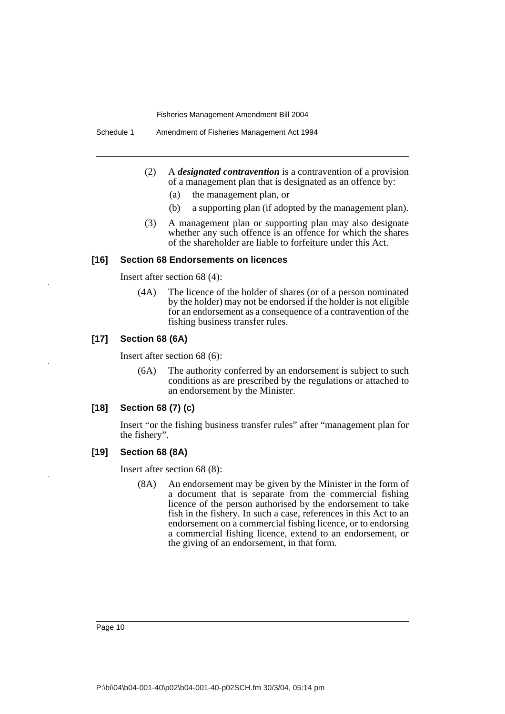Schedule 1 Amendment of Fisheries Management Act 1994

- (2) A *designated contravention* is a contravention of a provision of a management plan that is designated as an offence by:
	- (a) the management plan, or
	- (b) a supporting plan (if adopted by the management plan).
- (3) A management plan or supporting plan may also designate whether any such offence is an offence for which the shares of the shareholder are liable to forfeiture under this Act.

#### **[16] Section 68 Endorsements on licences**

Insert after section 68 (4):

(4A) The licence of the holder of shares (or of a person nominated by the holder) may not be endorsed if the holder is not eligible for an endorsement as a consequence of a contravention of the fishing business transfer rules.

#### **[17] Section 68 (6A)**

Insert after section 68 (6):

(6A) The authority conferred by an endorsement is subject to such conditions as are prescribed by the regulations or attached to an endorsement by the Minister.

## **[18] Section 68 (7) (c)**

Insert "or the fishing business transfer rules" after "management plan for the fishery".

## **[19] Section 68 (8A)**

Insert after section 68 (8):

(8A) An endorsement may be given by the Minister in the form of a document that is separate from the commercial fishing licence of the person authorised by the endorsement to take fish in the fishery. In such a case, references in this Act to an endorsement on a commercial fishing licence, or to endorsing a commercial fishing licence, extend to an endorsement, or the giving of an endorsement, in that form.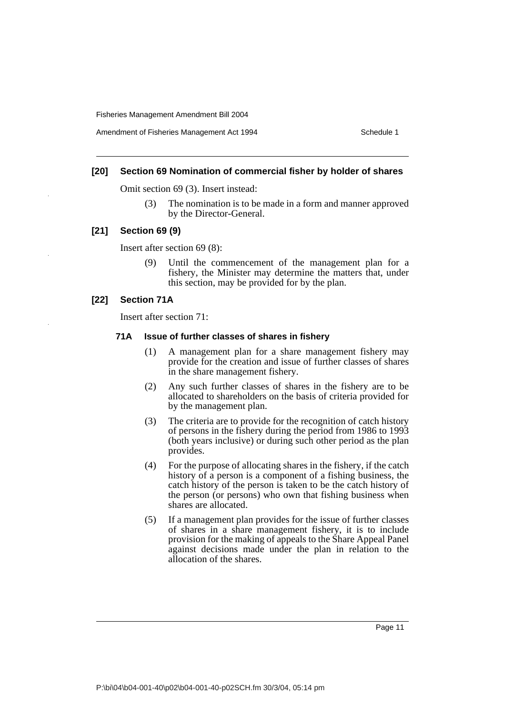Amendment of Fisheries Management Act 1994 Schedule 1

## **[20] Section 69 Nomination of commercial fisher by holder of shares**

Omit section 69 (3). Insert instead:

(3) The nomination is to be made in a form and manner approved by the Director-General.

## **[21] Section 69 (9)**

Insert after section 69 (8):

(9) Until the commencement of the management plan for a fishery, the Minister may determine the matters that, under this section, may be provided for by the plan.

## **[22] Section 71A**

Insert after section 71:

#### **71A Issue of further classes of shares in fishery**

- (1) A management plan for a share management fishery may provide for the creation and issue of further classes of shares in the share management fishery.
- (2) Any such further classes of shares in the fishery are to be allocated to shareholders on the basis of criteria provided for by the management plan.
- (3) The criteria are to provide for the recognition of catch history of persons in the fishery during the period from 1986 to 1993 (both years inclusive) or during such other period as the plan provides.
- (4) For the purpose of allocating shares in the fishery, if the catch history of a person is a component of a fishing business, the catch history of the person is taken to be the catch history of the person (or persons) who own that fishing business when shares are allocated.
- (5) If a management plan provides for the issue of further classes of shares in a share management fishery, it is to include provision for the making of appeals to the Share Appeal Panel against decisions made under the plan in relation to the allocation of the shares.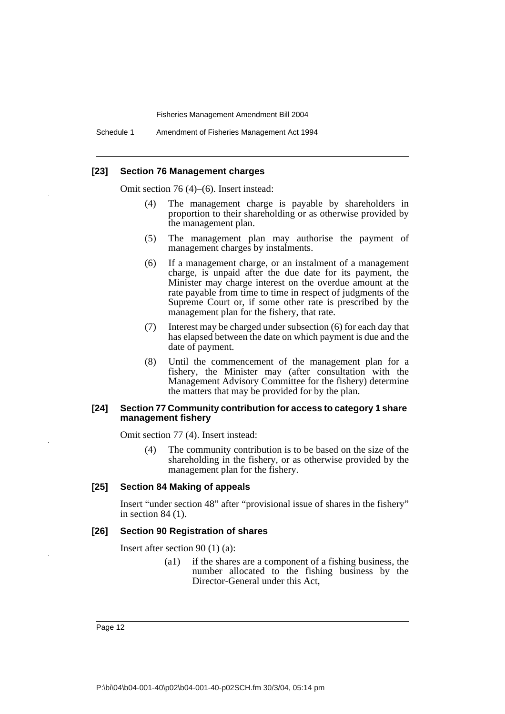Schedule 1 Amendment of Fisheries Management Act 1994

#### **[23] Section 76 Management charges**

Omit section 76 (4)–(6). Insert instead:

- (4) The management charge is payable by shareholders in proportion to their shareholding or as otherwise provided by the management plan.
- (5) The management plan may authorise the payment of management charges by instalments.
- (6) If a management charge, or an instalment of a management charge, is unpaid after the due date for its payment, the Minister may charge interest on the overdue amount at the rate payable from time to time in respect of judgments of the Supreme Court or, if some other rate is prescribed by the management plan for the fishery, that rate.
- (7) Interest may be charged under subsection (6) for each day that has elapsed between the date on which payment is due and the date of payment.
- (8) Until the commencement of the management plan for a fishery, the Minister may (after consultation with the Management Advisory Committee for the fishery) determine the matters that may be provided for by the plan.

## **[24] Section 77 Community contribution for access to category 1 share management fishery**

Omit section 77 (4). Insert instead:

(4) The community contribution is to be based on the size of the shareholding in the fishery, or as otherwise provided by the management plan for the fishery.

#### **[25] Section 84 Making of appeals**

Insert "under section 48" after "provisional issue of shares in the fishery" in section  $84$  (1).

#### **[26] Section 90 Registration of shares**

Insert after section 90 (1) (a):

(a1) if the shares are a component of a fishing business, the number allocated to the fishing business by the Director-General under this Act,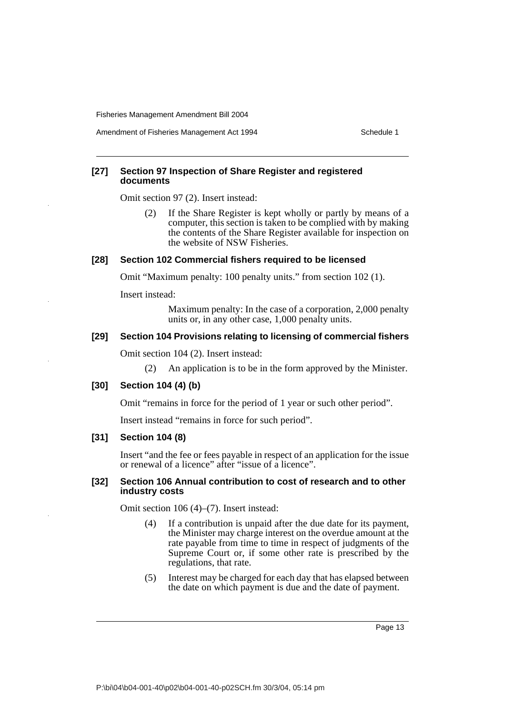Amendment of Fisheries Management Act 1994 Schedule 1

## **[27] Section 97 Inspection of Share Register and registered documents**

Omit section 97 (2). Insert instead:

(2) If the Share Register is kept wholly or partly by means of a computer, this section is taken to be complied with by making the contents of the Share Register available for inspection on the website of NSW Fisheries.

#### **[28] Section 102 Commercial fishers required to be licensed**

Omit "Maximum penalty: 100 penalty units." from section 102 (1).

Insert instead:

Maximum penalty: In the case of a corporation, 2,000 penalty units or, in any other case, 1,000 penalty units.

## **[29] Section 104 Provisions relating to licensing of commercial fishers**

Omit section 104 (2). Insert instead:

(2) An application is to be in the form approved by the Minister.

## **[30] Section 104 (4) (b)**

Omit "remains in force for the period of 1 year or such other period".

Insert instead "remains in force for such period".

## **[31] Section 104 (8)**

Insert "and the fee or fees payable in respect of an application for the issue or renewal of a licence" after "issue of a licence".

### **[32] Section 106 Annual contribution to cost of research and to other industry costs**

Omit section 106 (4)–(7). Insert instead:

- (4) If a contribution is unpaid after the due date for its payment, the Minister may charge interest on the overdue amount at the rate payable from time to time in respect of judgments of the Supreme Court or, if some other rate is prescribed by the regulations, that rate.
- (5) Interest may be charged for each day that has elapsed between the date on which payment is due and the date of payment.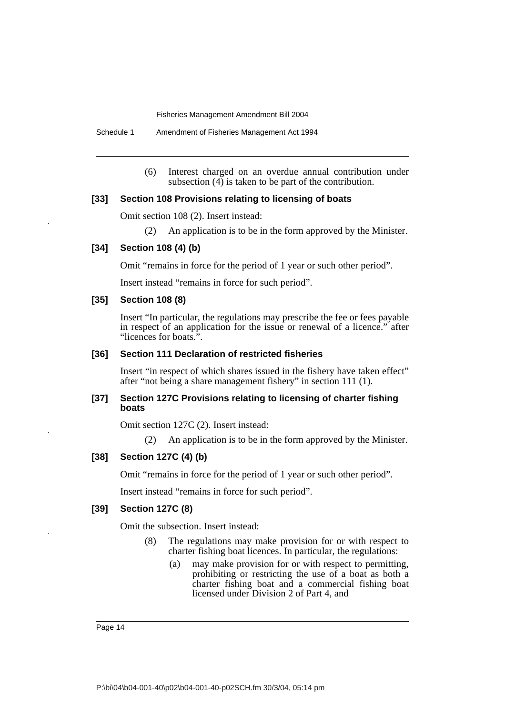Schedule 1 Amendment of Fisheries Management Act 1994

(6) Interest charged on an overdue annual contribution under subsection  $(4)$  is taken to be part of the contribution.

## **[33] Section 108 Provisions relating to licensing of boats**

Omit section 108 (2). Insert instead:

(2) An application is to be in the form approved by the Minister.

#### **[34] Section 108 (4) (b)**

Omit "remains in force for the period of 1 year or such other period".

Insert instead "remains in force for such period".

## **[35] Section 108 (8)**

Insert "In particular, the regulations may prescribe the fee or fees payable in respect of an application for the issue or renewal of a licence." after "licences for boats.".

## **[36] Section 111 Declaration of restricted fisheries**

Insert "in respect of which shares issued in the fishery have taken effect" after "not being a share management fishery" in section 111 (1).

## **[37] Section 127C Provisions relating to licensing of charter fishing boats**

Omit section 127C (2). Insert instead:

(2) An application is to be in the form approved by the Minister.

#### **[38] Section 127C (4) (b)**

Omit "remains in force for the period of 1 year or such other period".

Insert instead "remains in force for such period".

## **[39] Section 127C (8)**

Omit the subsection. Insert instead:

- (8) The regulations may make provision for or with respect to charter fishing boat licences. In particular, the regulations:
	- (a) may make provision for or with respect to permitting, prohibiting or restricting the use of a boat as both a charter fishing boat and a commercial fishing boat licensed under Division 2 of Part 4, and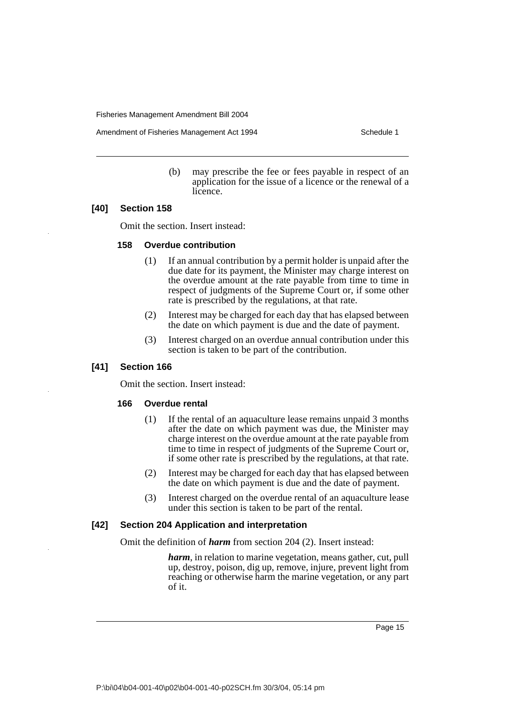Amendment of Fisheries Management Act 1994 Schedule 1

(b) may prescribe the fee or fees payable in respect of an application for the issue of a licence or the renewal of a licence.

## **[40] Section 158**

Omit the section. Insert instead:

#### **158 Overdue contribution**

- (1) If an annual contribution by a permit holder is unpaid after the due date for its payment, the Minister may charge interest on the overdue amount at the rate payable from time to time in respect of judgments of the Supreme Court or, if some other rate is prescribed by the regulations, at that rate.
- (2) Interest may be charged for each day that has elapsed between the date on which payment is due and the date of payment.
- (3) Interest charged on an overdue annual contribution under this section is taken to be part of the contribution.

#### **[41] Section 166**

Omit the section. Insert instead:

#### **166 Overdue rental**

- (1) If the rental of an aquaculture lease remains unpaid 3 months after the date on which payment was due, the Minister may charge interest on the overdue amount at the rate payable from time to time in respect of judgments of the Supreme Court or, if some other rate is prescribed by the regulations, at that rate.
- (2) Interest may be charged for each day that has elapsed between the date on which payment is due and the date of payment.
- (3) Interest charged on the overdue rental of an aquaculture lease under this section is taken to be part of the rental.

#### **[42] Section 204 Application and interpretation**

Omit the definition of *harm* from section 204 (2). Insert instead:

*harm*, in relation to marine vegetation, means gather, cut, pull up, destroy, poison, dig up, remove, injure, prevent light from reaching or otherwise harm the marine vegetation, or any part of it.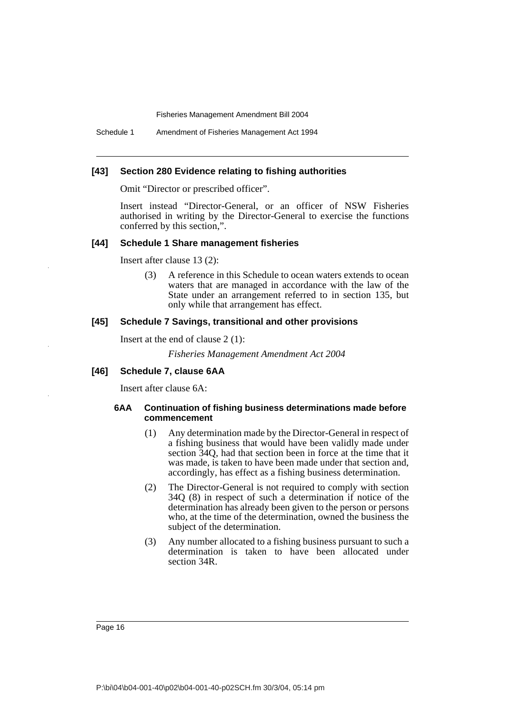Schedule 1 Amendment of Fisheries Management Act 1994

## **[43] Section 280 Evidence relating to fishing authorities**

Omit "Director or prescribed officer".

Insert instead "Director-General, or an officer of NSW Fisheries authorised in writing by the Director-General to exercise the functions conferred by this section,".

## **[44] Schedule 1 Share management fisheries**

Insert after clause 13 (2):

(3) A reference in this Schedule to ocean waters extends to ocean waters that are managed in accordance with the law of the State under an arrangement referred to in section 135, but only while that arrangement has effect.

#### **[45] Schedule 7 Savings, transitional and other provisions**

Insert at the end of clause 2 (1):

*Fisheries Management Amendment Act 2004*

## **[46] Schedule 7, clause 6AA**

Insert after clause 6A:

### **6AA Continuation of fishing business determinations made before commencement**

- (1) Any determination made by the Director-General in respect of a fishing business that would have been validly made under section 34Q, had that section been in force at the time that it was made, is taken to have been made under that section and, accordingly, has effect as a fishing business determination.
- (2) The Director-General is not required to comply with section 34Q (8) in respect of such a determination if notice of the determination has already been given to the person or persons who, at the time of the determination, owned the business the subject of the determination.
- (3) Any number allocated to a fishing business pursuant to such a determination is taken to have been allocated under section 34R.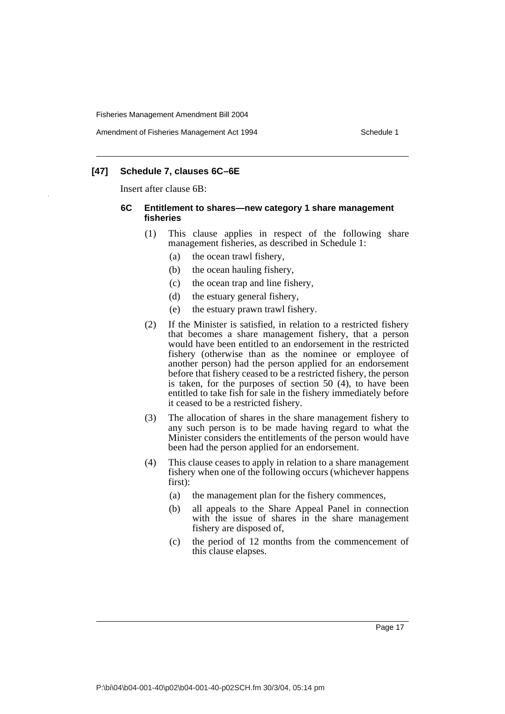Amendment of Fisheries Management Act 1994 Schedule 1

## **[47] Schedule 7, clauses 6C–6E**

Insert after clause 6B:

## **6C Entitlement to shares—new category 1 share management fisheries**

- (1) This clause applies in respect of the following share management fisheries, as described in Schedule 1:
	- (a) the ocean trawl fishery,
	- (b) the ocean hauling fishery,
	- (c) the ocean trap and line fishery,
	- (d) the estuary general fishery,
	- (e) the estuary prawn trawl fishery.
- (2) If the Minister is satisfied, in relation to a restricted fishery that becomes a share management fishery, that a person would have been entitled to an endorsement in the restricted fishery (otherwise than as the nominee or employee of another person) had the person applied for an endorsement before that fishery ceased to be a restricted fishery, the person is taken, for the purposes of section 50 (4), to have been entitled to take fish for sale in the fishery immediately before it ceased to be a restricted fishery.
- (3) The allocation of shares in the share management fishery to any such person is to be made having regard to what the Minister considers the entitlements of the person would have been had the person applied for an endorsement.
- (4) This clause ceases to apply in relation to a share management fishery when one of the following occurs (whichever happens first):
	- (a) the management plan for the fishery commences,
	- (b) all appeals to the Share Appeal Panel in connection with the issue of shares in the share management fishery are disposed of,
	- (c) the period of 12 months from the commencement of this clause elapses.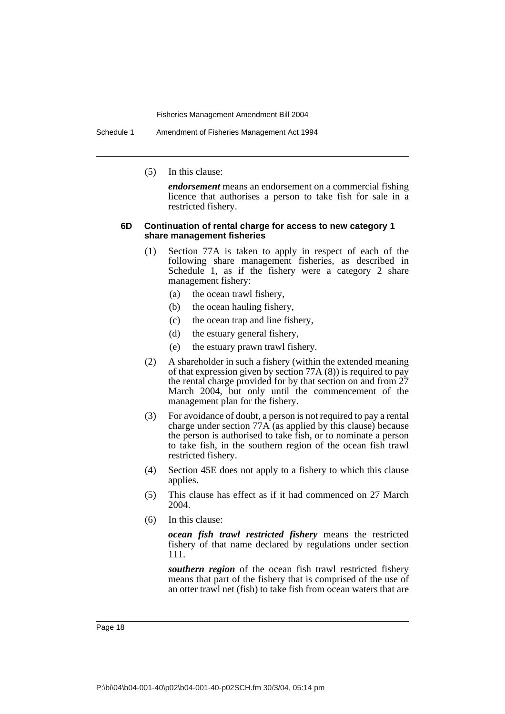Schedule 1 Amendment of Fisheries Management Act 1994

(5) In this clause:

*endorsement* means an endorsement on a commercial fishing licence that authorises a person to take fish for sale in a restricted fishery.

#### **6D Continuation of rental charge for access to new category 1 share management fisheries**

- (1) Section 77A is taken to apply in respect of each of the following share management fisheries, as described in Schedule 1, as if the fishery were a category 2 share management fishery:
	- (a) the ocean trawl fishery,
	- (b) the ocean hauling fishery,
	- (c) the ocean trap and line fishery,
	- (d) the estuary general fishery,
	- (e) the estuary prawn trawl fishery.
- (2) A shareholder in such a fishery (within the extended meaning of that expression given by section 77A (8)) is required to pay the rental charge provided for by that section on and from 27 March 2004, but only until the commencement of the management plan for the fishery.
- (3) For avoidance of doubt, a person is not required to pay a rental charge under section 77A (as applied by this clause) because the person is authorised to take fish, or to nominate a person to take fish, in the southern region of the ocean fish trawl restricted fishery.
- (4) Section 45E does not apply to a fishery to which this clause applies.
- (5) This clause has effect as if it had commenced on 27 March 2004.
- (6) In this clause:

*ocean fish trawl restricted fishery* means the restricted fishery of that name declared by regulations under section 111.

*southern region* of the ocean fish trawl restricted fishery means that part of the fishery that is comprised of the use of an otter trawl net (fish) to take fish from ocean waters that are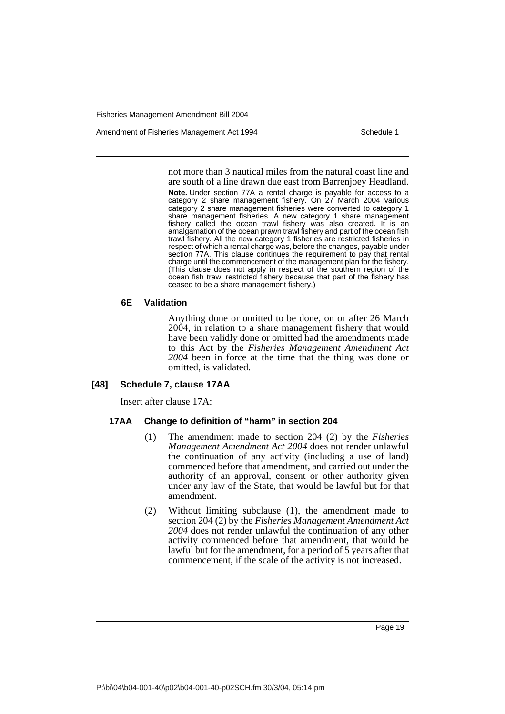Amendment of Fisheries Management Act 1994 Schedule 1

not more than 3 nautical miles from the natural coast line and are south of a line drawn due east from Barrenjoey Headland.

**Note.** Under section 77A a rental charge is payable for access to a category 2 share management fishery. On 27 March 2004 various category 2 share management fisheries were converted to category 1 share management fisheries. A new category 1 share management fishery called the ocean trawl fishery was also created. It is an amalgamation of the ocean prawn trawl fishery and part of the ocean fish trawl fishery. All the new category 1 fisheries are restricted fisheries in respect of which a rental charge was, before the changes, payable under section 77A. This clause continues the requirement to pay that rental charge until the commencement of the management plan for the fishery. (This clause does not apply in respect of the southern region of the ocean fish trawl restricted fishery because that part of the fishery has ceased to be a share management fishery.)

#### **6E Validation**

Anything done or omitted to be done, on or after 26 March 2004, in relation to a share management fishery that would have been validly done or omitted had the amendments made to this Act by the *Fisheries Management Amendment Act 2004* been in force at the time that the thing was done or omitted, is validated.

### **[48] Schedule 7, clause 17AA**

Insert after clause 17A:

#### **17AA Change to definition of "harm" in section 204**

- (1) The amendment made to section 204 (2) by the *Fisheries Management Amendment Act 2004* does not render unlawful the continuation of any activity (including a use of land) commenced before that amendment, and carried out under the authority of an approval, consent or other authority given under any law of the State, that would be lawful but for that amendment.
- (2) Without limiting subclause (1), the amendment made to section 204 (2) by the *Fisheries Management Amendment Act 2004* does not render unlawful the continuation of any other activity commenced before that amendment, that would be lawful but for the amendment, for a period of 5 years after that commencement, if the scale of the activity is not increased.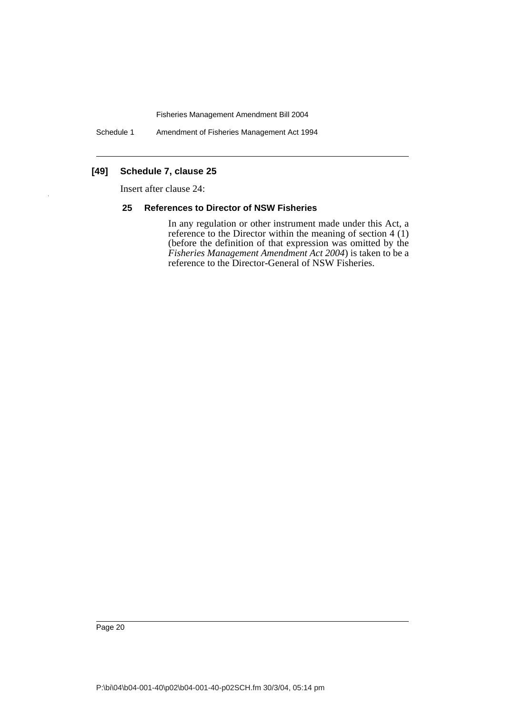Schedule 1 Amendment of Fisheries Management Act 1994

## **[49] Schedule 7, clause 25**

Insert after clause 24:

#### **25 References to Director of NSW Fisheries**

In any regulation or other instrument made under this Act, a reference to the Director within the meaning of section 4 (1) (before the definition of that expression was omitted by the *Fisheries Management Amendment Act 2004*) is taken to be a reference to the Director-General of NSW Fisheries.